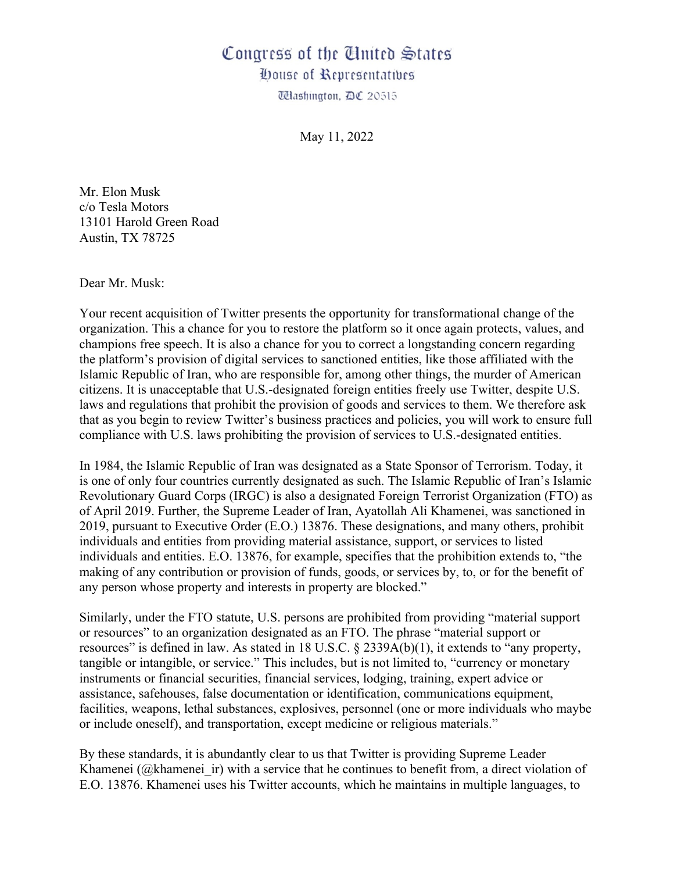## Congress of the United States

*Oouse of Representatives* 

Wlashington, DC 20515

May 11, 2022

Mr. Elon Musk c/o Tesla Motors 13101 Harold Green Road Austin, TX 78725

Dear Mr. Musk:

Your recent acquisition of Twitter presents the opportunity for transformational change of the organization. This a chance for you to restore the platform so it once again protects, values, and champions free speech. It is also a chance for you to correct a longstanding concern regarding the platform's provision of digital services to sanctioned entities, like those affiliated with the Islamic Republic of Iran, who are responsible for, among other things, the murder of American citizens. It is unacceptable that U.S.-designated foreign entities freely use Twitter, despite U.S. laws and regulations that prohibit the provision of goods and services to them. We therefore ask that as you begin to review Twitter's business practices and policies, you will work to ensure full compliance with U.S. laws prohibiting the provision of services to U.S.-designated entities.

In 1984, the Islamic Republic of Iran was designated as a State Sponsor of Terrorism. Today, it is one of only four countries currently designated as such. The Islamic Republic of Iran's Islamic Revolutionary Guard Corps (IRGC) is also a designated Foreign Terrorist Organization (FTO) as of April 2019. Further, the Supreme Leader of Iran, Ayatollah Ali Khamenei, was sanctioned in 2019, pursuant to Executive Order (E.O.) 13876. These designations, and many others, prohibit individuals and entities from providing material assistance, support, or services to listed individuals and entities. E.O. 13876, for example, specifies that the prohibition extends to, "the making of any contribution or provision of funds, goods, or services by, to, or for the benefit of any person whose property and interests in property are blocked."

Similarly, under the FTO statute, U.S. persons are prohibited from providing "material support or resources" to an organization designated as an FTO. The phrase "material support or resources" is defined in law. As stated in 18 U.S.C. § 2339A(b)(1), it extends to "any property, tangible or intangible, or service." This includes, but is not limited to, "currency or monetary instruments or financial securities, financial services, lodging, training, expert advice or assistance, safehouses, false documentation or identification, communications equipment, facilities, weapons, lethal substances, explosives, personnel (one or more individuals who maybe or include oneself), and transportation, except medicine or religious materials."

By these standards, it is abundantly clear to us that Twitter is providing Supreme Leader Khamenei ( $@$ khamenei ir) with a service that he continues to benefit from, a direct violation of E.O. 13876. Khamenei uses his Twitter accounts, which he maintains in multiple languages, to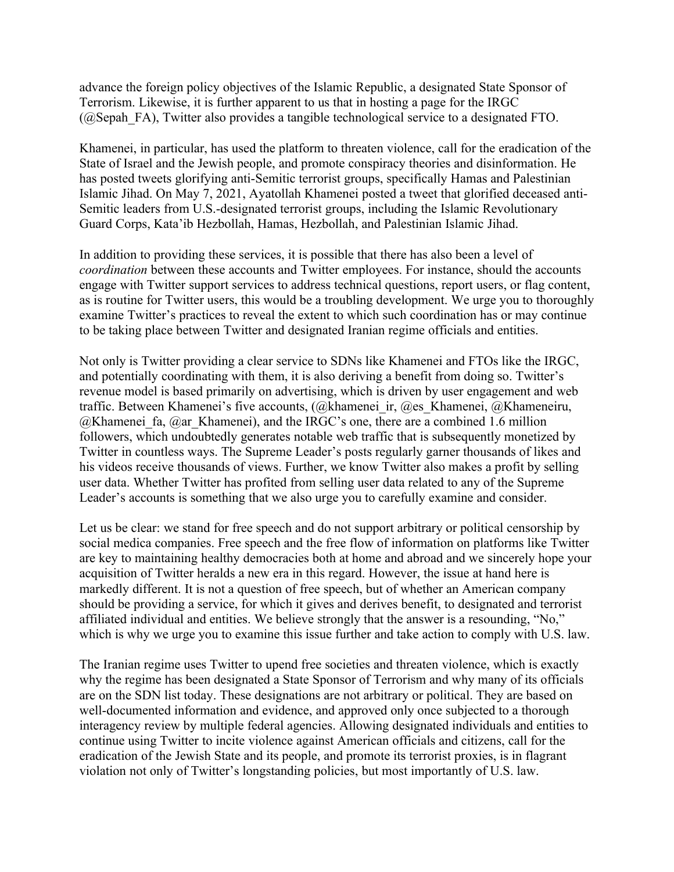advance the foreign policy objectives of the Islamic Republic, a designated State Sponsor of Terrorism. Likewise, it is further apparent to us that in hosting a page for the IRGC  $(Q)$ Sepah FA), Twitter also provides a tangible technological service to a designated FTO.

Khamenei, in particular, has used the platform to threaten violence, call for the eradication of the State of Israel and the Jewish people, and promote conspiracy theories and disinformation. He has posted tweets glorifying anti-Semitic terrorist groups, specifically Hamas and Palestinian Islamic Jihad. On May 7, 2021, Ayatollah Khamenei posted a tweet that glorified deceased anti-Semitic leaders from U.S.-designated terrorist groups, including the Islamic Revolutionary Guard Corps, Kata'ib Hezbollah, Hamas, Hezbollah, and Palestinian Islamic Jihad.

In addition to providing these services, it is possible that there has also been a level of *coordination* between these accounts and Twitter employees. For instance, should the accounts engage with Twitter support services to address technical questions, report users, or flag content, as is routine for Twitter users, this would be a troubling development. We urge you to thoroughly examine Twitter's practices to reveal the extent to which such coordination has or may continue to be taking place between Twitter and designated Iranian regime officials and entities.

Not only is Twitter providing a clear service to SDNs like Khamenei and FTOs like the IRGC, and potentially coordinating with them, it is also deriving a benefit from doing so. Twitter's revenue model is based primarily on advertising, which is driven by user engagement and web traffic. Between Khamenei's five accounts,  $(Qkhamenei$  ir,  $Qe$ s Khamenei,  $Qkhameneiru$ ,  $@K$ hamenei fa,  $@ar$  Khamenei), and the IRGC's one, there are a combined 1.6 million followers, which undoubtedly generates notable web traffic that is subsequently monetized by Twitter in countless ways. The Supreme Leader's posts regularly garner thousands of likes and his videos receive thousands of views. Further, we know Twitter also makes a profit by selling user data. Whether Twitter has profited from selling user data related to any of the Supreme Leader's accounts is something that we also urge you to carefully examine and consider.

Let us be clear: we stand for free speech and do not support arbitrary or political censorship by social medica companies. Free speech and the free flow of information on platforms like Twitter are key to maintaining healthy democracies both at home and abroad and we sincerely hope your acquisition of Twitter heralds a new era in this regard. However, the issue at hand here is markedly different. It is not a question of free speech, but of whether an American company should be providing a service, for which it gives and derives benefit, to designated and terrorist affiliated individual and entities. We believe strongly that the answer is a resounding, "No," which is why we urge you to examine this issue further and take action to comply with U.S. law.

The Iranian regime uses Twitter to upend free societies and threaten violence, which is exactly why the regime has been designated a State Sponsor of Terrorism and why many of its officials are on the SDN list today. These designations are not arbitrary or political. They are based on well-documented information and evidence, and approved only once subjected to a thorough interagency review by multiple federal agencies. Allowing designated individuals and entities to continue using Twitter to incite violence against American officials and citizens, call for the eradication of the Jewish State and its people, and promote its terrorist proxies, is in flagrant violation not only of Twitter's longstanding policies, but most importantly of U.S. law.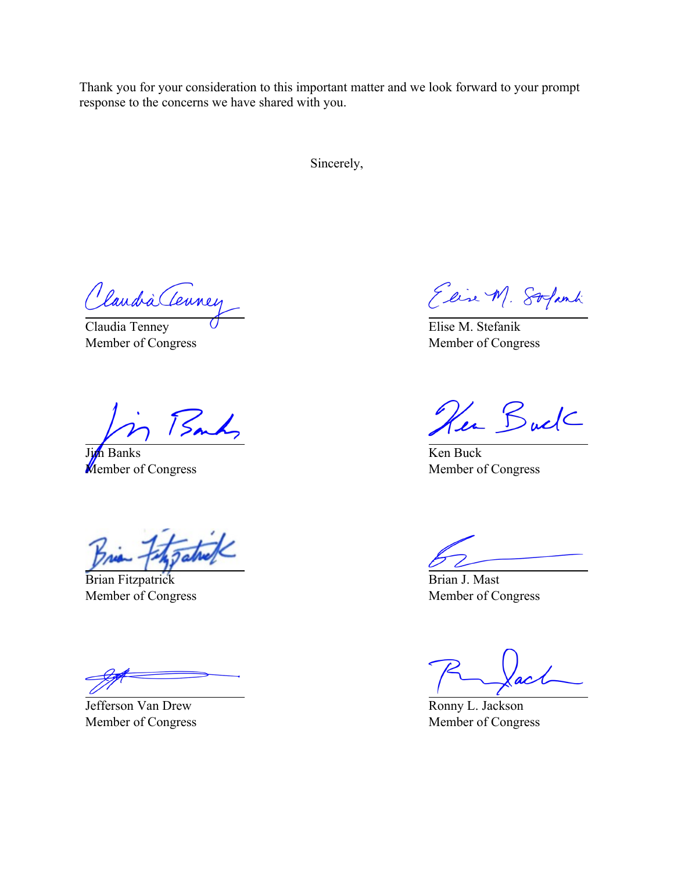Thank you for your consideration to this important matter and we look forward to your prompt response to the concerns we have shared with you.

Sincerely,

Claudia Tenney

Claudia Tenney Member of Congress

Sandy

n Banks **Member of Congress** 

Brian Fitzpatrick Member of Congress

Jefferson Van Drew Member of Congress

Elise M. Solanti

Elise M. Stefanik Member of Congress

Her Buck

Ken Buck Member of Congress

Brian J. Mast Member of Congress

Ronny L. Jackson Member of Congress